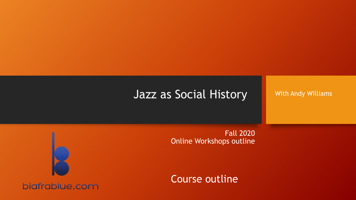#### Jazz as Social History

With Andy Williams

Fall 2020 Online Workshops outline

Course outline

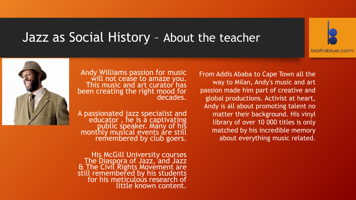#### Jazz as Social History – About the teacher





Andy Williams passion for music will not cease to amaze you. This music and art curator has been creating the right mood for decades.

A passionated jazz specialist and educator, he is a captivating public speaker. Many of his monthly musical events are still remembered by club goers.

His McGill University courses The Diaspora of Jazz, and Jazz & The Civil Rights Movement are still remembered by his students for his meticulous research of little known content.

From Addis Ababa to Cape Town [all the](http://www.biafrablue.com/)  way to Milan, Andy's music and art passion made him part of creative and global productions. Activist at heart, Andy is all about promoting talent no matter their background. His vinyl library of over 10 000 titles is only matched by his incredible memory about everything music related.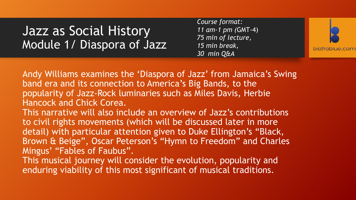*Course format: 11 am-1 pm (*GMT-4) *75 min of lecture, 15 min break, 30 min Q&A*



Andy Williams examines the 'Diaspora of Jazz' from Jamaica's Swing band era and its connection to America's Big Bands, to the popularity of Jazz-Rock luminaries such as Miles Davis, Herbie Hancock and Chick Corea.

This narrative will also include an overview of Jazz's contributions to civil rights movements (which will be discussed later in more detail) with particular attention given to Duke Ellington's "Black, Brown & Beige", Oscar Peterson's "Hymn to Freedom" and Charles Mingus' "Fables of Faubus".

This musical journey will consider the evolution, popularity and enduring viability of this most significant of musical traditions.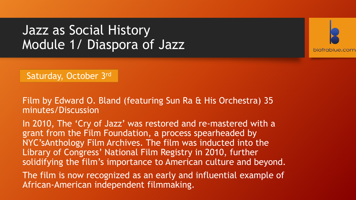

Saturday, October 3rd

Film by Edward O. Bland (featuring Sun Ra & His Orchestra) 35 minutes/Discussion

In 2010, The 'Cry of Jazz' was restored and re-mastered with a grant from the Film Foundation, a process spearheaded by NYC'sAnthology Film Archives. The film was inducted into the Library of Congress' National Film Registry in 2010, further solidifying the film's importance to American culture and beyond.

The film is now recognized as an early and influential example of African-American independent filmmaking.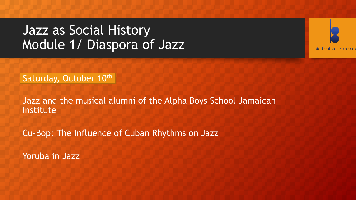

Saturday, October 10th

Jazz and the musical alumni of the Alpha Boys School Jamaican Institute

Cu-Bop: The Influence of Cuban Rhythms on Jazz

Yoruba in Jazz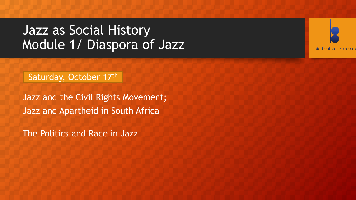

Saturday, October 17th

Jazz and the Civil Rights Movement; Jazz and Apartheid in South Africa

The Politics and Race in Jazz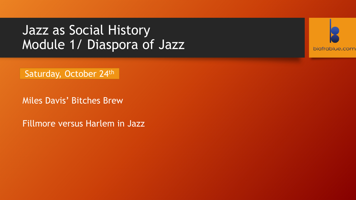

Saturday, October 24th

Miles Davis' Bitches Brew

Fillmore versus Harlem in Jazz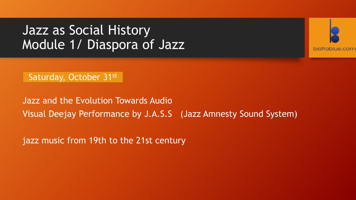

Saturday, October 31st

Jazz and the Evolution Towards Audio Visual Deejay Performance by J.A.S.S (Jazz Amnesty Sound System)

jazz music from 19th to the 21st century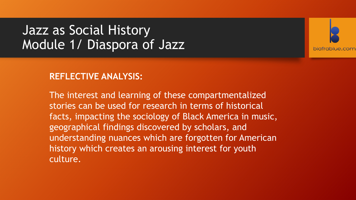

#### **REFLECTIVE ANALYSIS:**

The interest and learning of these compartmentalized stories can be used for research in terms of historical facts, impacting the sociology of Black America in music, geographical findings discovered by scholars, and understanding nuances which are forgotten for American history which creates an arousing interest for youth culture.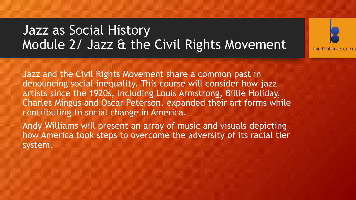# Jazz as Social History Module 2/ Jazz & the Civil Rights Movement



Jazz and the Civil Rights Movement share a common past in denouncing social inequality. This course will consider how jazz artists since the 1920s, including Louis Armstrong, Billie Holiday, Charles Mingus and Oscar Peterson, expanded their art forms while contributing to social change in America.

Andy Williams will present an array of music and visuals depicting how America took steps to overcome the adversity of its racial tier system.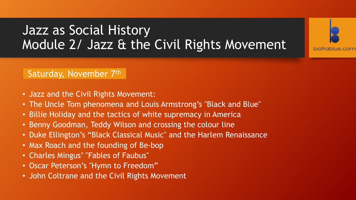# Jazz as Social History Module 2/ Jazz & the Civil Rights Movement

biafrablue.com



- Jazz and the Civil Rights Movement:
- The Uncle Tom phenomena and Louis Armstrong's "Black and Blue"
- Billie Holiday and the tactics of white supremacy in America
- Benny Goodman, Teddy Wilson and crossing the colour line
- Duke Ellington's "Black Classical Music" and the Harlem Renaissance
- Max Roach and the founding of Be-bop
- Charles Mingus' "Fables of Faubus"
- Oscar Peterson's "Hymn to Freedom"
- John Coltrane and the Civil Rights Movement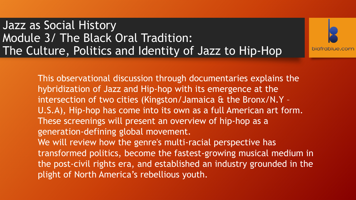Jazz as Social History Module 3/ The Black Oral Tradition: The Culture, Politics and Identity of Jazz to Hip-Hop

> This observational discussion through documentaries explains the hybridization of Jazz and Hip-hop with its emergence at the intersection of two cities (Kingston/Jamaica & the Bronx/N.Y – U.S.A), Hip-hop has come into its own as a full American art form. These screenings will present an overview of hip-hop as a generation-defining global movement. We will review how the genre's multi-racial perspective has transformed politics, become the fastest-growing musical medium in the post-civil rights era, and established an industry grounded in the plight of North America's rebellious youth.

biafrablue.com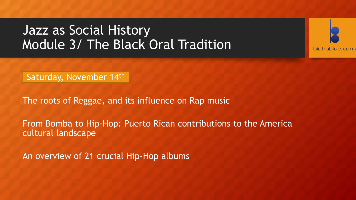

Saturday, November 14th

The roots of Reggae, and its influence on Rap music

From Bomba to Hip-Hop: Puerto Rican contributions to the America cultural landscape

An overview of 21 crucial Hip-Hop albums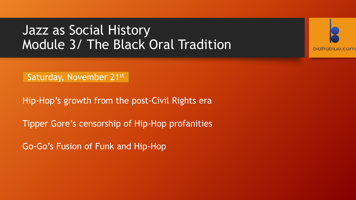

Saturday, November 21st

Hip-Hop's growth from the post-Civil Rights era

Tipper Gore's censorship of Hip-Hop profanities

Go-Go's Fusion of Funk and Hip-Hop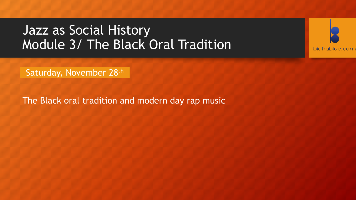

Saturday, November 28th

The Black oral tradition and modern day rap music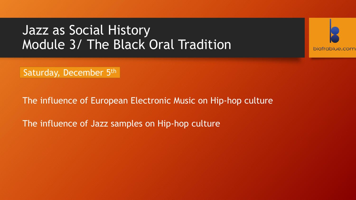

Saturday, December 5th

The influence of European Electronic Music on Hip-hop culture

The influence of Jazz samples on Hip-hop culture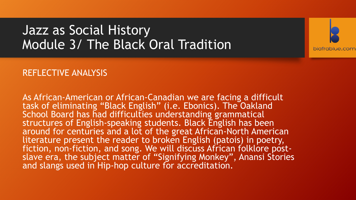

#### REFLECTIVE ANALYSIS

As African-American or African-Canadian we are facing a difficult task of eliminating "Black English" (i.e. Ebonics). The Oakland School Board has had difficulties understanding grammatical structures of English-speaking students. Black English has been around for centuries and a lot of the great African-North American literature present the reader to broken English (patois) in poetry, fiction, non-fiction, and song. We will discuss African folklore postslave era, the subject matter of "Signifying Monkey", Anansi Stories and slangs used in Hip-hop culture for accreditation.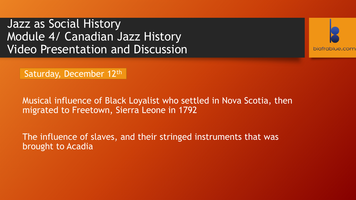Jazz as Social History Module 4/ Canadian Jazz History Video Presentation and Discussion



Saturday, December 12th

Musical influence of Black Loyalist who settled in Nova Scotia, then migrated to Freetown, Sierra Leone in 1792

The influence of slaves, and their stringed instruments that was brought to Acadia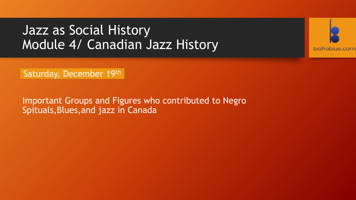

Saturday, December 19th

Important Groups and Figures who contributed to Negro Spituals,Blues,and jazz in Canada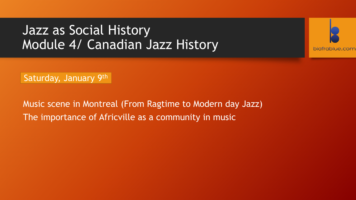

Saturday, January 9th

Music scene in Montreal (From Ragtime to Modern day Jazz) The importance of Africville as a community in music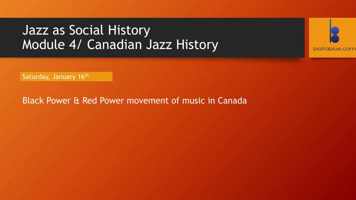

Saturday, January 16th

Black Power & Red Power movement of music in Canada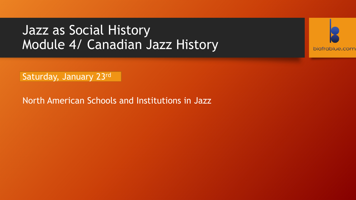

Saturday, January 23rd

North American Schools and Institutions in Jazz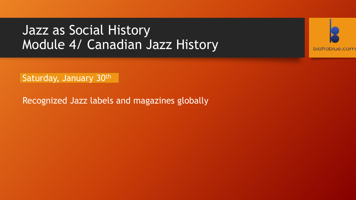

Saturday, January 30th

Recognized Jazz labels and magazines globally